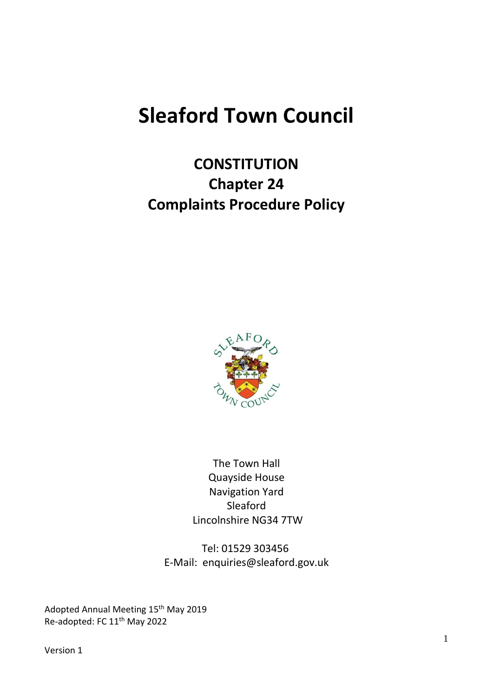# **Sleaford Town Council**

# **CONSTITUTION Chapter 24 Complaints Procedure Policy**



The Town Hall Quayside House Navigation Yard Sleaford Lincolnshire NG34 7TW

Tel: 01529 303456 E-Mail: enquiries@sleaford.gov.uk

Adopted Annual Meeting 15<sup>th</sup> May 2019 Re-adopted: FC 11<sup>th</sup> May 2022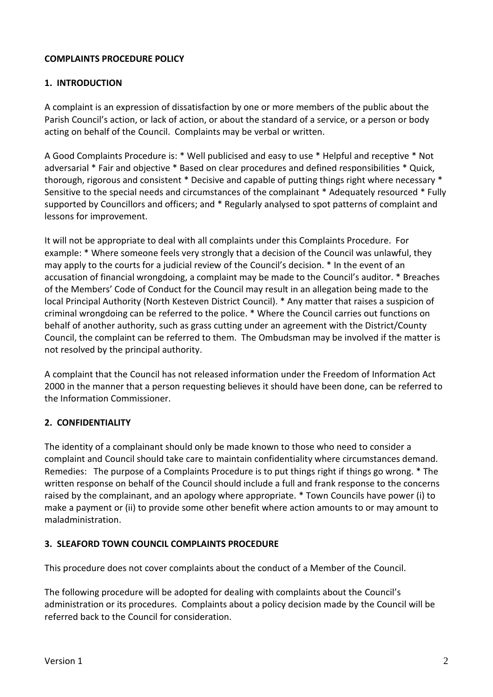### **COMPLAINTS PROCEDURE POLICY**

#### **1. INTRODUCTION**

A complaint is an expression of dissatisfaction by one or more members of the public about the Parish Council's action, or lack of action, or about the standard of a service, or a person or body acting on behalf of the Council. Complaints may be verbal or written.

A Good Complaints Procedure is: \* Well publicised and easy to use \* Helpful and receptive \* Not adversarial \* Fair and objective \* Based on clear procedures and defined responsibilities \* Quick, thorough, rigorous and consistent \* Decisive and capable of putting things right where necessary \* Sensitive to the special needs and circumstances of the complainant \* Adequately resourced \* Fully supported by Councillors and officers; and \* Regularly analysed to spot patterns of complaint and lessons for improvement.

It will not be appropriate to deal with all complaints under this Complaints Procedure. For example: \* Where someone feels very strongly that a decision of the Council was unlawful, they may apply to the courts for a judicial review of the Council's decision. \* In the event of an accusation of financial wrongdoing, a complaint may be made to the Council's auditor. \* Breaches of the Members' Code of Conduct for the Council may result in an allegation being made to the local Principal Authority (North Kesteven District Council). \* Any matter that raises a suspicion of criminal wrongdoing can be referred to the police. \* Where the Council carries out functions on behalf of another authority, such as grass cutting under an agreement with the District/County Council, the complaint can be referred to them. The Ombudsman may be involved if the matter is not resolved by the principal authority.

A complaint that the Council has not released information under the Freedom of Information Act 2000 in the manner that a person requesting believes it should have been done, can be referred to the Information Commissioner.

#### **2. CONFIDENTIALITY**

The identity of a complainant should only be made known to those who need to consider a complaint and Council should take care to maintain confidentiality where circumstances demand. Remedies: The purpose of a Complaints Procedure is to put things right if things go wrong. \* The written response on behalf of the Council should include a full and frank response to the concerns raised by the complainant, and an apology where appropriate. \* Town Councils have power (i) to make a payment or (ii) to provide some other benefit where action amounts to or may amount to maladministration.

#### **3. SLEAFORD TOWN COUNCIL COMPLAINTS PROCEDURE**

This procedure does not cover complaints about the conduct of a Member of the Council.

The following procedure will be adopted for dealing with complaints about the Council's administration or its procedures. Complaints about a policy decision made by the Council will be referred back to the Council for consideration.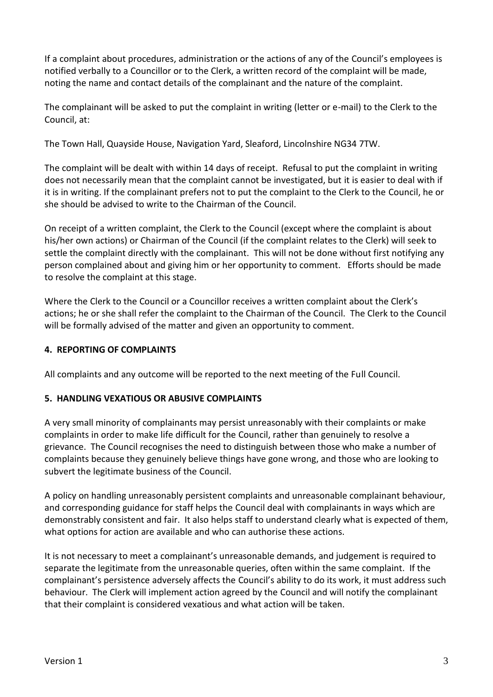If a complaint about procedures, administration or the actions of any of the Council's employees is notified verbally to a Councillor or to the Clerk, a written record of the complaint will be made, noting the name and contact details of the complainant and the nature of the complaint.

The complainant will be asked to put the complaint in writing (letter or e-mail) to the Clerk to the Council, at:

The Town Hall, Quayside House, Navigation Yard, Sleaford, Lincolnshire NG34 7TW.

The complaint will be dealt with within 14 days of receipt. Refusal to put the complaint in writing does not necessarily mean that the complaint cannot be investigated, but it is easier to deal with if it is in writing. If the complainant prefers not to put the complaint to the Clerk to the Council, he or she should be advised to write to the Chairman of the Council.

On receipt of a written complaint, the Clerk to the Council (except where the complaint is about his/her own actions) or Chairman of the Council (if the complaint relates to the Clerk) will seek to settle the complaint directly with the complainant. This will not be done without first notifying any person complained about and giving him or her opportunity to comment. Efforts should be made to resolve the complaint at this stage.

Where the Clerk to the Council or a Councillor receives a written complaint about the Clerk's actions; he or she shall refer the complaint to the Chairman of the Council. The Clerk to the Council will be formally advised of the matter and given an opportunity to comment.

## **4. REPORTING OF COMPLAINTS**

All complaints and any outcome will be reported to the next meeting of the Full Council.

#### **5. HANDLING VEXATIOUS OR ABUSIVE COMPLAINTS**

A very small minority of complainants may persist unreasonably with their complaints or make complaints in order to make life difficult for the Council, rather than genuinely to resolve a grievance. The Council recognises the need to distinguish between those who make a number of complaints because they genuinely believe things have gone wrong, and those who are looking to subvert the legitimate business of the Council.

A policy on handling unreasonably persistent complaints and unreasonable complainant behaviour, and corresponding guidance for staff helps the Council deal with complainants in ways which are demonstrably consistent and fair. It also helps staff to understand clearly what is expected of them, what options for action are available and who can authorise these actions.

It is not necessary to meet a complainant's unreasonable demands, and judgement is required to separate the legitimate from the unreasonable queries, often within the same complaint. If the complainant's persistence adversely affects the Council's ability to do its work, it must address such behaviour. The Clerk will implement action agreed by the Council and will notify the complainant that their complaint is considered vexatious and what action will be taken.